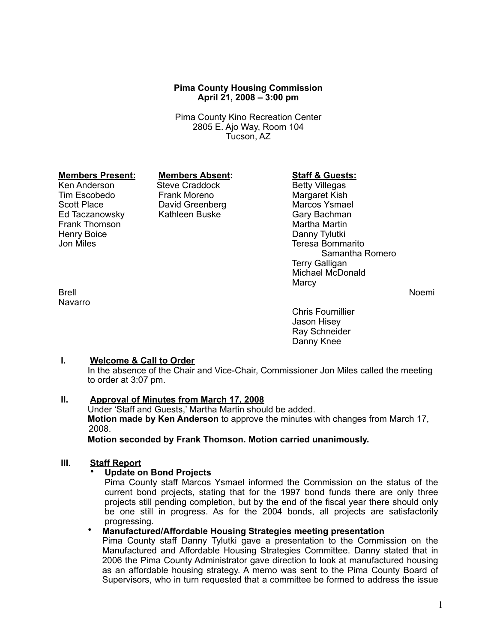# **Pima County Housing Commission April 21, 2008 – 3:00 pm**

Pima County Kino Recreation Center 2805 E. Ajo Way, Room 104 Tucson, AZ

# **Members Present: Members Absent: Staff & Guests:**<br>
Ken Anderson Steve Craddock Betty Villegas

Ed Taczanowsky Kathleen Buske Gary Bachman Frank Thomson Henry Boice **Danny Tylutki**<br>Jon Miles **Danny Tylutki**<br>Jon Miles **Danny Tylutki** 

**Navarro** 

Steve Craddock Betty Villegas Tim Escobedo Frank Moreno **Margaret Kish**<br>
Scott Place **Margaret Contains Contains Contains Contains Contains Marcos Ysmael** Scott Place **David Greenberg Community Control** Marcos Ysmael<br>Ed Taczanowsky Kathleen Buske **Marcos Control Control** Gary Bachman

Teresa Bommarito Samantha Romero Terry Galligan Michael McDonald **Marcy** 

Brell Noemi

Chris Fournillier Jason Hisey Ray Schneider Danny Knee

# **I. Welcome & Call to Order**

In the absence of the Chair and Vice-Chair, Commissioner Jon Miles called the meeting to order at 3:07 pm.

# **II. Approval of Minutes from March 17, 2008**

Under 'Staff and Guests,' Martha Martin should be added. **Motion made by Ken Anderson** to approve the minutes with changes from March 17, 2008.

**Motion seconded by Frank Thomson. Motion carried unanimously.**

## **III. Staff Report**

#### • **Update on Bond Projects**

Pima County staff Marcos Ysmael informed the Commission on the status of the current bond projects, stating that for the 1997 bond funds there are only three projects still pending completion, but by the end of the fiscal year there should only be one still in progress. As for the 2004 bonds, all projects are satisfactorily progressing.

## • **Manufactured/Affordable Housing Strategies meeting presentation**

Pima County staff Danny Tylutki gave a presentation to the Commission on the Manufactured and Affordable Housing Strategies Committee. Danny stated that in 2006 the Pima County Administrator gave direction to look at manufactured housing as an affordable housing strategy. A memo was sent to the Pima County Board of Supervisors, who in turn requested that a committee be formed to address the issue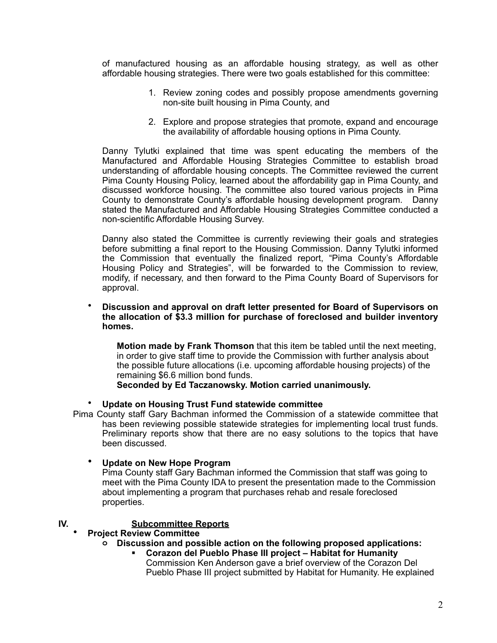of manufactured housing as an affordable housing strategy, as well as other affordable housing strategies. There were two goals established for this committee:

- 1. Review zoning codes and possibly propose amendments governing non-site built housing in Pima County, and
- 2. Explore and propose strategies that promote, expand and encourage the availability of affordable housing options in Pima County.

Danny Tylutki explained that time was spent educating the members of the Manufactured and Affordable Housing Strategies Committee to establish broad understanding of affordable housing concepts. The Committee reviewed the current Pima County Housing Policy, learned about the affordability gap in Pima County, and discussed workforce housing. The committee also toured various projects in Pima County to demonstrate County's affordable housing development program. Danny stated the Manufactured and Affordable Housing Strategies Committee conducted a non-scientific Affordable Housing Survey.

Danny also stated the Committee is currently reviewing their goals and strategies before submitting a final report to the Housing Commission. Danny Tylutki informed the Commission that eventually the finalized report, "Pima County's Affordable Housing Policy and Strategies", will be forwarded to the Commission to review, modify, if necessary, and then forward to the Pima County Board of Supervisors for approval.

• **Discussion and approval on draft letter presented for Board of Supervisors on the allocation of \$3.3 million for purchase of foreclosed and builder inventory homes.**

**Motion made by Frank Thomson** that this item be tabled until the next meeting, in order to give staff time to provide the Commission with further analysis about the possible future allocations (i.e. upcoming affordable housing projects) of the remaining \$6.6 million bond funds.

**Seconded by Ed Taczanowsky. Motion carried unanimously.**

• **Update on Housing Trust Fund statewide committee**

Pima County staff Gary Bachman informed the Commission of a statewide committee that has been reviewing possible statewide strategies for implementing local trust funds. Preliminary reports show that there are no easy solutions to the topics that have been discussed.

• **Update on New Hope Program**

Pima County staff Gary Bachman informed the Commission that staff was going to meet with the Pima County IDA to present the presentation made to the Commission about implementing a program that purchases rehab and resale foreclosed properties.

# **IV. Subcommittee Reports**

# • **Project Review Committee**

- **o Discussion and possible action on the following proposed applications:**
	- **Corazon del Pueblo Phase III project Habitat for Humanity** Commission Ken Anderson gave a brief overview of the Corazon Del Pueblo Phase III project submitted by Habitat for Humanity. He explained